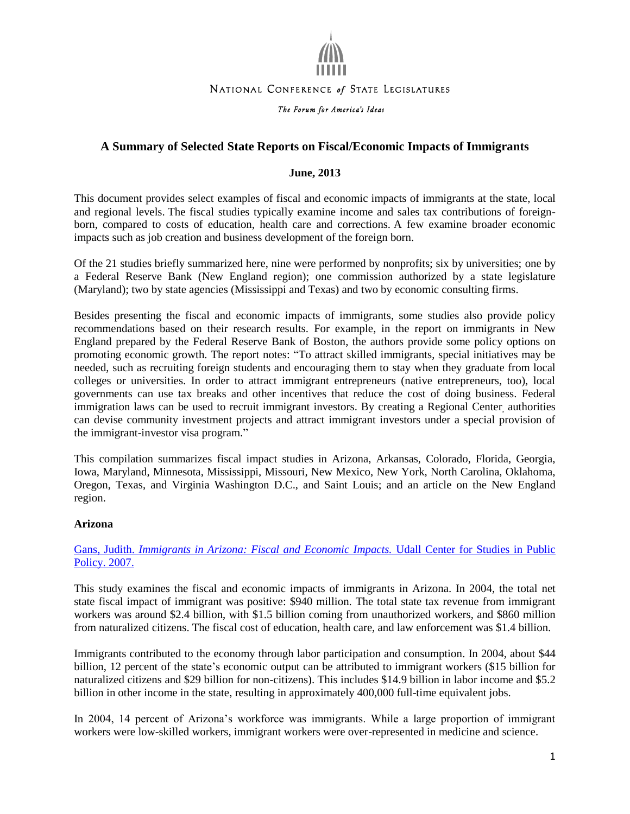

## NATIONAL CONFERENCE of STATE LEGISLATURES

#### The Forum for America's Ideas

# **A Summary of Selected State Reports on Fiscal/Economic Impacts of Immigrants**

#### **June, 2013**

This document provides select examples of fiscal and economic impacts of immigrants at the state, local and regional levels. The fiscal studies typically examine income and sales tax contributions of foreignborn, compared to costs of education, health care and corrections. A few examine broader economic impacts such as job creation and business development of the foreign born.

Of the 21 studies briefly summarized here, nine were performed by nonprofits; six by universities; one by a Federal Reserve Bank (New England region); one commission authorized by a state legislature (Maryland); two by state agencies (Mississippi and Texas) and two by economic consulting firms.

Besides presenting the fiscal and economic impacts of immigrants, some studies also provide policy recommendations based on their research results. For example, in the report on immigrants in New England prepared by the Federal Reserve Bank of Boston, the authors provide some policy options on promoting economic growth. The report notes: "To attract skilled immigrants, special initiatives may be needed, such as recruiting foreign students and encouraging them to stay when they graduate from local colleges or universities. In order to attract immigrant entrepreneurs (native entrepreneurs, too), local governments can use tax breaks and other incentives that reduce the cost of doing business. Federal immigration laws can be used to recruit immigrant investors. By creating a Regional Center, authorities can devise community investment projects and attract immigrant investors under a special provision of the immigrant-investor visa program."

This compilation summarizes fiscal impact studies in Arizona, Arkansas, Colorado, Florida, Georgia, Iowa, Maryland, Minnesota, Mississippi, Missouri, New Mexico, New York, North Carolina, Oklahoma, Oregon, Texas, and Virginia Washington D.C., and Saint Louis; and an article on the New England region.

#### **Arizona**

Gans, Judith. *[Immigrants in Arizona: Fiscal and Economic Impacts.](http://udallcenter.arizona.edu/immigration/publications/impactofimmigrants08.pdf)* Udall Center for Studies in Public [Policy. 2007.](http://udallcenter.arizona.edu/immigration/publications/impactofimmigrants08.pdf)

This study examines the fiscal and economic impacts of immigrants in Arizona. In 2004, the total net state fiscal impact of immigrant was positive: \$940 million. The total state tax revenue from immigrant workers was around \$2.4 billion, with \$1.5 billion coming from unauthorized workers, and \$860 million from naturalized citizens. The fiscal cost of education, health care, and law enforcement was \$1.4 billion.

Immigrants contributed to the economy through labor participation and consumption. In 2004, about \$44 billion, 12 percent of the state's economic output can be attributed to immigrant workers (\$15 billion for naturalized citizens and \$29 billion for non-citizens). This includes \$14.9 billion in labor income and \$5.2 billion in other income in the state, resulting in approximately 400,000 full-time equivalent jobs.

In 2004, 14 percent of Arizona's workforce was immigrants. While a large proportion of immigrant workers were low-skilled workers, immigrant workers were over-represented in medicine and science.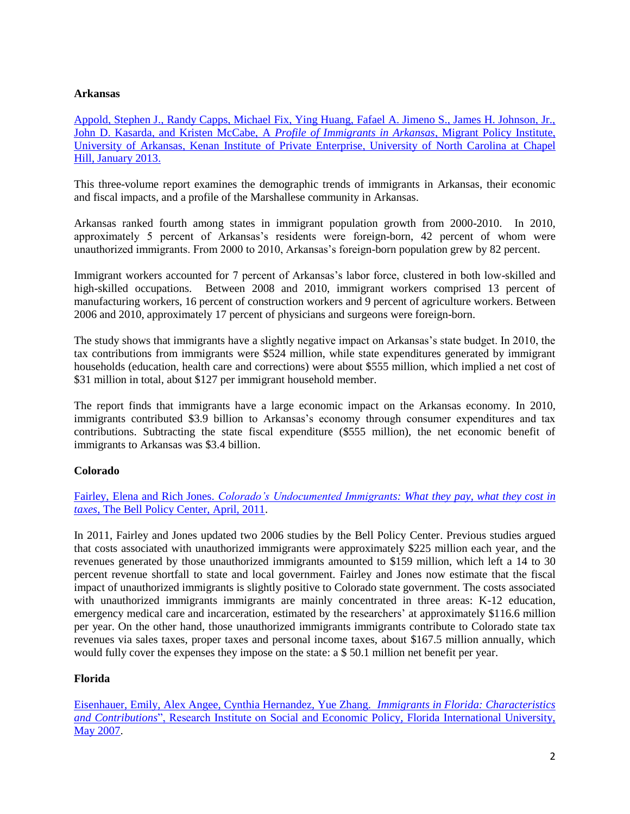## **Arkansas**

[Appold, Stephen J., Randy Capps, Michael Fix, Ying Huang, Fafael A. Jimeno S., James H. Johnson, Jr.,](http://www.wrfoundation.org/beyond-grantmaking/profile-of-immigrants-in-arkansas.html)  [John D. Kasarda, and Kristen McCabe, A](http://www.wrfoundation.org/beyond-grantmaking/profile-of-immigrants-in-arkansas.html) *Profile of Immigrants in Arkansas*, Migrant Policy Institute, [University of Arkansas, Kenan Institute of Private Enterprise, University of North Carolina at Chapel](http://www.wrfoundation.org/beyond-grantmaking/profile-of-immigrants-in-arkansas.html)  [Hill, January 2013.](http://www.wrfoundation.org/beyond-grantmaking/profile-of-immigrants-in-arkansas.html)

This three-volume report examines the demographic trends of immigrants in Arkansas, their economic and fiscal impacts, and a profile of the Marshallese community in Arkansas.

Arkansas ranked fourth among states in immigrant population growth from 2000-2010. In 2010, approximately 5 percent of Arkansas's residents were foreign-born, 42 percent of whom were unauthorized immigrants. From 2000 to 2010, Arkansas's foreign-born population grew by 82 percent.

Immigrant workers accounted for 7 percent of Arkansas's labor force, clustered in both low-skilled and high-skilled occupations. Between 2008 and 2010, immigrant workers comprised 13 percent of manufacturing workers, 16 percent of construction workers and 9 percent of agriculture workers. Between 2006 and 2010, approximately 17 percent of physicians and surgeons were foreign-born.

The study shows that immigrants have a slightly negative impact on Arkansas's state budget. In 2010, the tax contributions from immigrants were \$524 million, while state expenditures generated by immigrant households (education, health care and corrections) were about \$555 million, which implied a net cost of \$31 million in total, about \$127 per immigrant household member.

The report finds that immigrants have a large economic impact on the Arkansas economy. In 2010, immigrants contributed \$3.9 billion to Arkansas's economy through consumer expenditures and tax contributions. Subtracting the state fiscal expenditure (\$555 million), the net economic benefit of immigrants to Arkansas was \$3.4 billion.

# **Colorado**

Fairley, Elena and Rich Jones. *[Colorado's Undocumented Immigrants: What they pay, what they cost in](http://bellpolicy.org/sites/default/files/ImmigrationTaxesCost2011_1.pdf)  taxes*[, The Bell Policy Center, April, 2011.](http://bellpolicy.org/sites/default/files/ImmigrationTaxesCost2011_1.pdf)

In 2011, Fairley and Jones updated two 2006 studies by the Bell Policy Center. Previous studies argued that costs associated with unauthorized immigrants were approximately \$225 million each year, and the revenues generated by those unauthorized immigrants amounted to \$159 million, which left a 14 to 30 percent revenue shortfall to state and local government. Fairley and Jones now estimate that the fiscal impact of unauthorized immigrants is slightly positive to Colorado state government. The costs associated with unauthorized immigrants immigrants are mainly concentrated in three areas: K-12 education, emergency medical care and incarceration, estimated by the researchers' at approximately \$116.6 million per year. On the other hand, those unauthorized immigrants immigrants contribute to Colorado state tax revenues via sales taxes, proper taxes and personal income taxes, about \$167.5 million annually, which would fully cover the expenses they impose on the state: a \$ 50.1 million net benefit per year.

### **Florida**

[Eisenhauer, Emily, Alex Angee, Cynthia Hernandez, Yue Zhang.](http://media.miamiherald.com/smedia/2007/05/21/21/IMMIGRANTS_spring_2007.source.prod_affiliate.56.pdf) *Immigrants in Florida: Characteristics and Contributions*", Research Institute on [Social and Economic Policy, Florida International University,](http://media.miamiherald.com/smedia/2007/05/21/21/IMMIGRANTS_spring_2007.source.prod_affiliate.56.pdf)  [May 2007.](http://media.miamiherald.com/smedia/2007/05/21/21/IMMIGRANTS_spring_2007.source.prod_affiliate.56.pdf)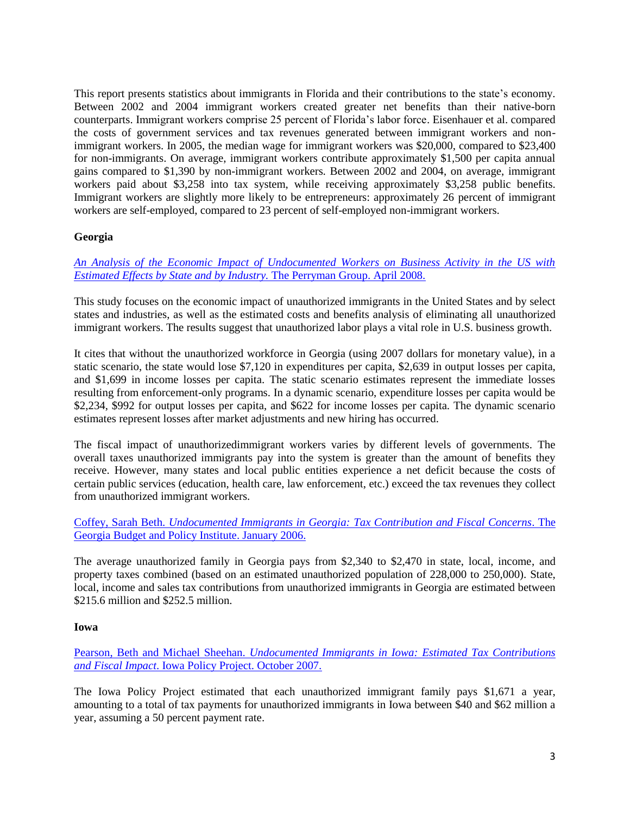This report presents statistics about immigrants in Florida and their contributions to the state's economy. Between 2002 and 2004 immigrant workers created greater net benefits than their native-born counterparts. Immigrant workers comprise 25 percent of Florida's labor force. Eisenhauer et al. compared the costs of government services and tax revenues generated between immigrant workers and nonimmigrant workers. In 2005, the median wage for immigrant workers was \$20,000, compared to \$23,400 for non-immigrants. On average, immigrant workers contribute approximately \$1,500 per capita annual gains compared to \$1,390 by non-immigrant workers. Between 2002 and 2004, on average, immigrant workers paid about \$3,258 into tax system, while receiving approximately \$3,258 public benefits. Immigrant workers are slightly more likely to be entrepreneurs: approximately 26 percent of immigrant workers are self-employed, compared to 23 percent of self-employed non-immigrant workers.

## **Georgia**

*[An Analysis of the Economic Impact of Undocumented Workers on Business Activity in the US with](http://www.lexisnexis.com/community/immigration-law/blogs/inside/archive/2008/05/21/an-essential-resource_3a00_-an-analysis-of-the-economic-impact-of-undocumented-workers-on-business-activity-in-the-us-with-estimated-effects-by-state-and-by-industry.aspx)  [Estimated Effects by State and by Industry.](http://www.lexisnexis.com/community/immigration-law/blogs/inside/archive/2008/05/21/an-essential-resource_3a00_-an-analysis-of-the-economic-impact-of-undocumented-workers-on-business-activity-in-the-us-with-estimated-effects-by-state-and-by-industry.aspx)* The Perryman Group. April 2008.

This study focuses on the economic impact of unauthorized immigrants in the United States and by select states and industries, as well as the estimated costs and benefits analysis of eliminating all unauthorized immigrant workers. The results suggest that unauthorized labor plays a vital role in U.S. business growth.

It cites that without the unauthorized workforce in Georgia (using 2007 dollars for monetary value), in a static scenario, the state would lose \$7,120 in expenditures per capita, \$2,639 in output losses per capita, and \$1,699 in income losses per capita. The static scenario estimates represent the immediate losses resulting from enforcement-only programs. In a dynamic scenario, expenditure losses per capita would be \$2,234, \$992 for output losses per capita, and \$622 for income losses per capita. The dynamic scenario estimates represent losses after market adjustments and new hiring has occurred.

The fiscal impact of unauthorizedimmigrant workers varies by different levels of governments. The overall taxes unauthorized immigrants pay into the system is greater than the amount of benefits they receive. However, many states and local public entities experience a net deficit because the costs of certain public services (education, health care, law enforcement, etc.) exceed the tax revenues they collect from unauthorized immigrant workers.

Coffey, Sarah Beth. *[Undocumented Immigrants in Georgia: Tax Contribution and Fiscal Concerns](http://gbpi.org/wp-content/uploads/2011/12/20060119_UndocumentedImmigrantsinGeorgia2.pdf)*. The [Georgia Budget and Policy Institute. January 2006.](http://gbpi.org/wp-content/uploads/2011/12/20060119_UndocumentedImmigrantsinGeorgia2.pdf)

The average unauthorized family in Georgia pays from \$2,340 to \$2,470 in state, local, income, and property taxes combined (based on an estimated unauthorized population of 228,000 to 250,000). State, local, income and sales tax contributions from unauthorized immigrants in Georgia are estimated between \$215.6 million and \$252.5 million.

### **Iowa**

Pearson, Beth and Michael Sheehan. *[Undocumented Immigrants in Iowa: Estimated Tax Contributions](http://www.iowapolicyproject.org/2007docs/071025-undoc.pdf)  and Fiscal Impact*[. Iowa Policy Project. October 2007.](http://www.iowapolicyproject.org/2007docs/071025-undoc.pdf)

The Iowa Policy Project estimated that each unauthorized immigrant family pays \$1,671 a year, amounting to a total of tax payments for unauthorized immigrants in Iowa between \$40 and \$62 million a year, assuming a 50 percent payment rate.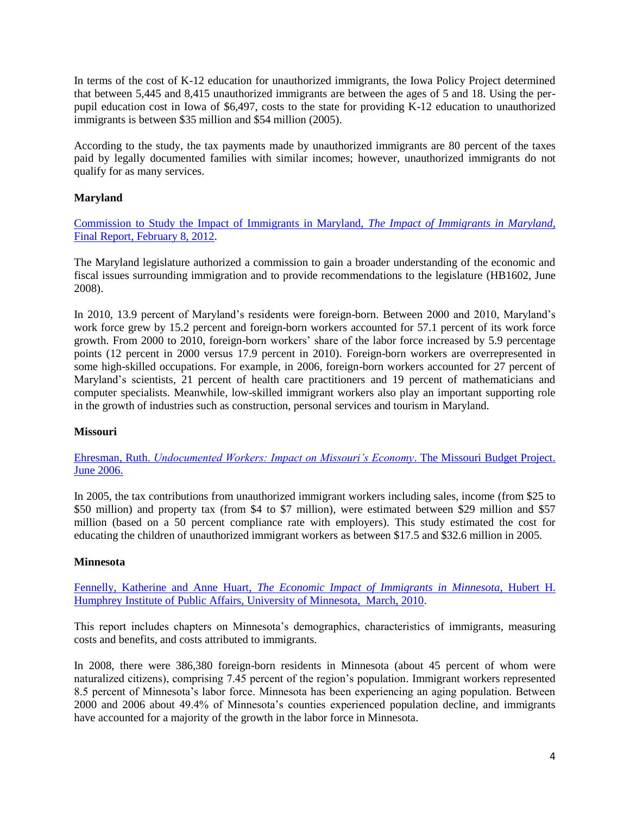In terms of the cost of K-12 education for unauthorized immigrants, the Iowa Policy Project determined that between 5,445 and 8,415 unauthorized immigrants are between the ages of 5 and 18. Using the perpupil education cost in Iowa of \$6,497, costs to the state for providing K-12 education to unauthorized immigrants is between \$35 million and \$54 million (2005).

According to the study, the tax payments made by unauthorized immigrants are 80 percent of the taxes paid by legally documented families with similar incomes; however, unauthorized immigrants do not qualify for as many services.

# **Maryland**

[Commission to Study the Impact of Immigrants in Maryland,](http://www.inforum.umd.edu/mdimmigration/content/md_immigration_commission_finalreport.pdf) *The Impact of Immigrants in Maryland*, Final [Report, February 8, 2012.](http://www.inforum.umd.edu/mdimmigration/content/md_immigration_commission_finalreport.pdf)

The Maryland legislature authorized a commission to gain a broader understanding of the economic and fiscal issues surrounding immigration and to provide recommendations to the legislature (HB1602, June 2008).

In 2010, 13.9 percent of Maryland's residents were foreign-born. Between 2000 and 2010, Maryland's work force grew by 15.2 percent and foreign-born workers accounted for 57.1 percent of its work force growth. From 2000 to 2010, foreign-born workers' share of the labor force increased by 5.9 percentage points (12 percent in 2000 versus 17.9 percent in 2010). Foreign-born workers are overrepresented in some high-skilled occupations. For example, in 2006, foreign-born workers accounted for 27 percent of Maryland's scientists, 21 percent of health care practitioners and 19 percent of mathematicians and computer specialists. Meanwhile, low-skilled immigrant workers also play an important supporting role in the growth of industries such as construction, personal services and tourism in Maryland.

# **Missouri**

Ehresman, Ruth. *[Undocumented Workers: Impact on Missouri's Economy](http://www.mobudget.org/files/Undocumented%20Workers%20Impact%20on%20Missouri%20Economy%20June%2006.pdf)*. The Missouri Budget Project. [June 2006.](http://www.mobudget.org/files/Undocumented%20Workers%20Impact%20on%20Missouri%20Economy%20June%2006.pdf)

In 2005, the tax contributions from unauthorized immigrant workers including sales, income (from \$25 to \$50 million) and property tax (from \$4 to \$7 million), were estimated between \$29 million and \$57 million (based on a 50 percent compliance rate with employers). This study estimated the cost for educating the children of unauthorized immigrant workers as between \$17.5 and \$32.6 million in 2005.

### **Minnesota**

Fennelly, Katherine and Anne Huart, *[The Economic Impact of Immigrants in Minnesota](http://www.hhh.umn.edu/people/kfennelly/pdf/eco_impacts_report_2010.pdf)*, Hubert H. [Humphrey Institute of Public Affairs, University of Minnesota, March, 2010.](http://www.hhh.umn.edu/people/kfennelly/pdf/eco_impacts_report_2010.pdf)

This report includes chapters on Minnesota's demographics, characteristics of immigrants, measuring costs and benefits, and costs attributed to immigrants.

In 2008, there were 386,380 foreign-born residents in Minnesota (about 45 percent of whom were naturalized citizens), comprising 7.45 percent of the region's population. Immigrant workers represented 8.5 percent of Minnesota's labor force. Minnesota has been experiencing an aging population. Between 2000 and 2006 about 49.4% of Minnesota's counties experienced population decline, and immigrants have accounted for a majority of the growth in the labor force in Minnesota.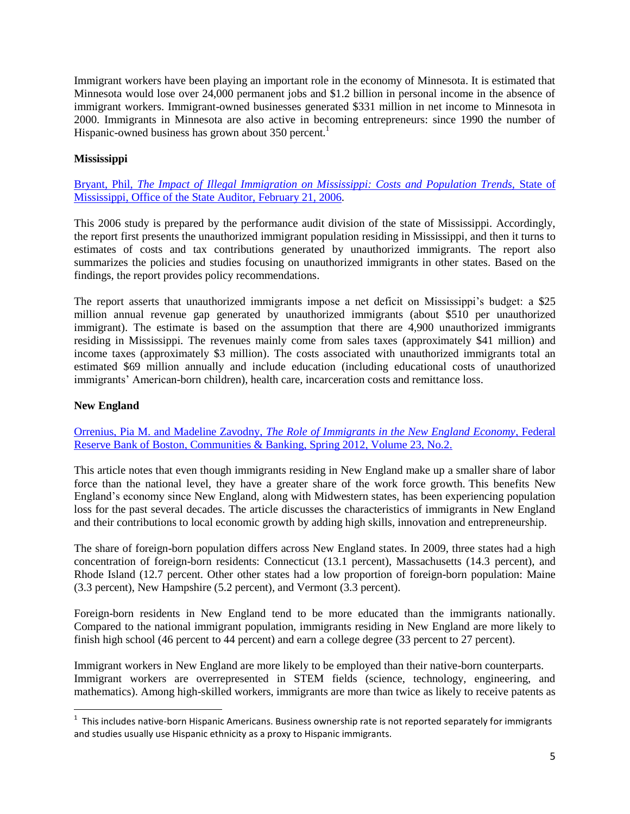Immigrant workers have been playing an important role in the economy of Minnesota. It is estimated that Minnesota would lose over 24,000 permanent jobs and \$1.2 billion in personal income in the absence of immigrant workers. Immigrant-owned businesses generated \$331 million in net income to Minnesota in 2000. Immigrants in Minnesota are also active in becoming entrepreneurs: since 1990 the number of Hispanic-owned business has grown about 350 percent.<sup>1</sup>

# **Mississippi**

Bryant, Phil, *[The Impact of Illegal Immigration on Mississippi: Costs and Population Trends,](http://www.osa.state.ms.us/documents/performance/illegal-immigration.pdf)* State of [Mississippi, Office of the State Auditor, February 21, 2006.](http://www.osa.state.ms.us/documents/performance/illegal-immigration.pdf)

This 2006 study is prepared by the performance audit division of the state of Mississippi. Accordingly, the report first presents the unauthorized immigrant population residing in Mississippi, and then it turns to estimates of costs and tax contributions generated by unauthorized immigrants. The report also summarizes the policies and studies focusing on unauthorized immigrants in other states. Based on the findings, the report provides policy recommendations.

The report asserts that unauthorized immigrants impose a net deficit on Mississippi's budget: a \$25 million annual revenue gap generated by unauthorized immigrants (about \$510 per unauthorized immigrant). The estimate is based on the assumption that there are 4,900 unauthorized immigrants residing in Mississippi. The revenues mainly come from sales taxes (approximately \$41 million) and income taxes (approximately \$3 million). The costs associated with unauthorized immigrants total an estimated \$69 million annually and include education (including educational costs of unauthorized immigrants' American-born children), health care, incarceration costs and remittance loss.

### **New England**

l

Orrenius, Pia M. and Madeline Zavodny, *[The Role of Immigrants in the New England Economy](http://www.bostonfed.org/commdev/c&b/2012/spring/role-of-immigrants-in-the-new-england-economy.pdf)*, Federal [Reserve Bank of Boston, Communities & Banking, Spring 2012, Volume 23, No.2.](http://www.bostonfed.org/commdev/c&b/2012/spring/role-of-immigrants-in-the-new-england-economy.pdf)

This article notes that even though immigrants residing in New England make up a smaller share of labor force than the national level, they have a greater share of the work force growth. This benefits New England's economy since New England, along with Midwestern states, has been experiencing population loss for the past several decades. The article discusses the characteristics of immigrants in New England and their contributions to local economic growth by adding high skills, innovation and entrepreneurship.

The share of foreign-born population differs across New England states. In 2009, three states had a high concentration of foreign-born residents: Connecticut (13.1 percent), Massachusetts (14.3 percent), and Rhode Island (12.7 percent. Other other states had a low proportion of foreign-born population: Maine (3.3 percent), New Hampshire (5.2 percent), and Vermont (3.3 percent).

Foreign-born residents in New England tend to be more educated than the immigrants nationally. Compared to the national immigrant population, immigrants residing in New England are more likely to finish high school (46 percent to 44 percent) and earn a college degree (33 percent to 27 percent).

Immigrant workers in New England are more likely to be employed than their native-born counterparts. Immigrant workers are overrepresented in STEM fields (science, technology, engineering, and mathematics). Among high-skilled workers, immigrants are more than twice as likely to receive patents as

 $1$  This includes native-born Hispanic Americans. Business ownership rate is not reported separately for immigrants and studies usually use Hispanic ethnicity as a proxy to Hispanic immigrants.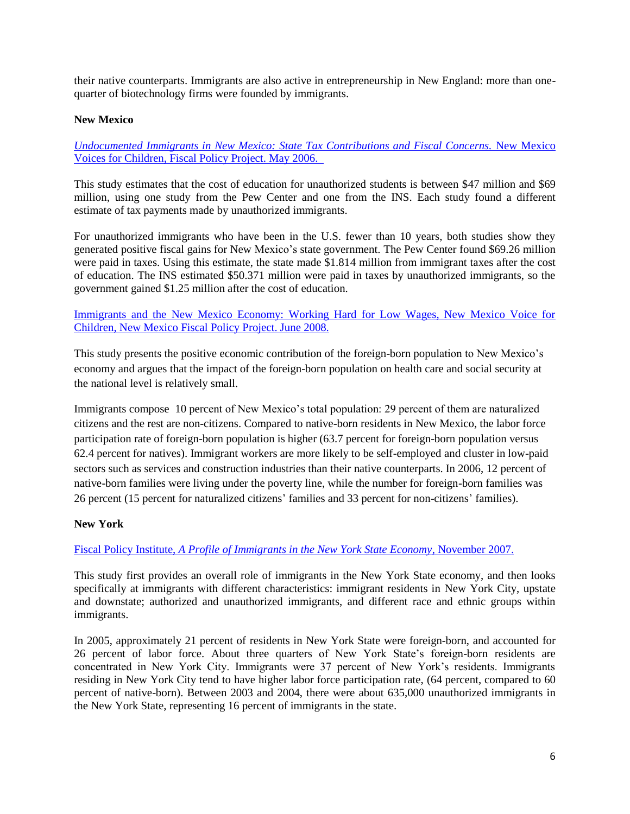their native counterparts. Immigrants are also active in entrepreneurship in New England: more than onequarter of biotechnology firms were founded by immigrants.

# **New Mexico**

*[Undocumented Immigrants in New Mexico: State Tax Contributions and Fiscal Concerns.](http://www.nmvoices.org/fpp_attachments/immigrant_tax_rpt_fact_sheet_5-06.pdf)* New Mexico [Voices for Children, Fiscal Policy Project. May 2006.](http://www.nmvoices.org/fpp_attachments/immigrant_tax_rpt_fact_sheet_5-06.pdf) 

This study estimates that the cost of education for unauthorized students is between \$47 million and \$69 million, using one study from the Pew Center and one from the INS. Each study found a different estimate of tax payments made by unauthorized immigrants.

For unauthorized immigrants who have been in the U.S. fewer than 10 years, both studies show they generated positive fiscal gains for New Mexico's state government. The Pew Center found \$69.26 million were paid in taxes. Using this estimate, the state made \$1.814 million from immigrant taxes after the cost of education. The INS estimated \$50.371 million were paid in taxes by unauthorized immigrants, so the government gained \$1.25 million after the cost of education.

# [Immigrants and the New Mexico Economy: Working Hard for Low Wages, New Mexico Voice for](http://www.nmvoices.org/fpp_attachments/immigrants_and_economy_full_rpt_6-08.pdf)  [Children, New Mexico Fiscal Policy Project. June 2008.](http://www.nmvoices.org/fpp_attachments/immigrants_and_economy_full_rpt_6-08.pdf)

This study presents the positive economic contribution of the foreign-born population to New Mexico's economy and argues that the impact of the foreign-born population on health care and social security at the national level is relatively small.

Immigrants compose 10 percent of New Mexico's total population: 29 percent of them are naturalized citizens and the rest are non-citizens. Compared to native-born residents in New Mexico, the labor force participation rate of foreign-born population is higher (63.7 percent for foreign-born population versus 62.4 percent for natives). Immigrant workers are more likely to be self-employed and cluster in low-paid sectors such as services and construction industries than their native counterparts. In 2006, 12 percent of native-born families were living under the poverty line, while the number for foreign-born families was 26 percent (15 percent for naturalized citizens' families and 33 percent for non-citizens' families).

### **New York**

### Fiscal Policy Institute, *[A Profile of Immigrants in the New York State Economy](http://www.fiscalpolicy.org/publications2007/FPI_ImmReport_WorkingforaBetterLife.pdf)*, November 2007.

This study first provides an overall role of immigrants in the New York State economy, and then looks specifically at immigrants with different characteristics: immigrant residents in New York City, upstate and downstate; authorized and unauthorized immigrants, and different race and ethnic groups within immigrants.

In 2005, approximately 21 percent of residents in New York State were foreign-born, and accounted for 26 percent of labor force. About three quarters of New York State's foreign-born residents are concentrated in New York City. Immigrants were 37 percent of New York's residents. Immigrants residing in New York City tend to have higher labor force participation rate, (64 percent, compared to 60 percent of native-born). Between 2003 and 2004, there were about 635,000 unauthorized immigrants in the New York State, representing 16 percent of immigrants in the state.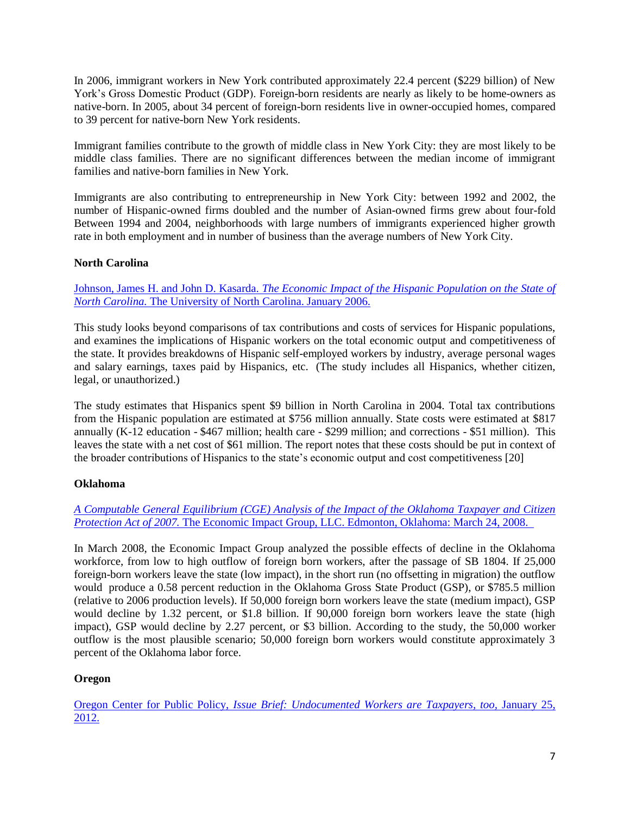In 2006, immigrant workers in New York contributed approximately 22.4 percent (\$229 billion) of New York's Gross Domestic Product (GDP). Foreign-born residents are nearly as likely to be home-owners as native-born. In 2005, about 34 percent of foreign-born residents live in owner-occupied homes, compared to 39 percent for native-born New York residents.

Immigrant families contribute to the growth of middle class in New York City: they are most likely to be middle class families. There are no significant differences between the median income of immigrant families and native-born families in New York.

Immigrants are also contributing to entrepreneurship in New York City: between 1992 and 2002, the number of Hispanic-owned firms doubled and the number of Asian-owned firms grew about four-fold Between 1994 and 2004, neighborhoods with large numbers of immigrants experienced higher growth rate in both employment and in number of business than the average numbers of New York City.

# **North Carolina**

Johnson, James H. and John D. Kasarda. *[The Economic Impact of the Hispanic Population on the State](http://www.ncbankers.org/uploads/File/CommService/HispanicStudy.pdf) of North Carolina.* [The University of North Carolina. January 2006.](http://www.ncbankers.org/uploads/File/CommService/HispanicStudy.pdf)

This study looks beyond comparisons of tax contributions and costs of services for Hispanic populations, and examines the implications of Hispanic workers on the total economic output and competitiveness of the state. It provides breakdowns of Hispanic self-employed workers by industry, average personal wages and salary earnings, taxes paid by Hispanics, etc. (The study includes all Hispanics, whether citizen, legal, or unauthorized.)

The study estimates that Hispanics spent \$9 billion in North Carolina in 2004. Total tax contributions from the Hispanic population are estimated at \$756 million annually. State costs were estimated at \$817 annually (K-12 education - \$467 million; health care - \$299 million; and corrections - \$51 million). This leaves the state with a net cost of \$61 million. The report notes that these costs should be put in context of the broader contributions of Hispanics to the state's economic output and cost competitiveness [20]

### **Oklahoma**

*[A Computable General Equilibrium \(CGE\) Analysis of the Impact of the Oklahoma Taxpayer and Citizen](http://economicimpactgroup.com/Resources/HB%201804%20Impact%20Analysis%20Rep.pdf)  Protection Act of 2007.* [The Economic Impact Group, LLC. Edmonton, Oklahoma: March 24, 2008.](http://economicimpactgroup.com/Resources/HB%201804%20Impact%20Analysis%20Rep.pdf) 

In March 2008, the Economic Impact Group analyzed the possible effects of decline in the Oklahoma workforce, from low to high outflow of foreign born workers, after the passage of SB 1804. If 25,000 foreign-born workers leave the state (low impact), in the short run (no offsetting in migration) the outflow would produce a 0.58 percent reduction in the Oklahoma Gross State Product (GSP), or \$785.5 million (relative to 2006 production levels). If 50,000 foreign born workers leave the state (medium impact), GSP would decline by 1.32 percent, or \$1.8 billion. If 90,000 foreign born workers leave the state (high impact), GSP would decline by 2.27 percent, or \$3 billion. According to the study, the 50,000 worker outflow is the most plausible scenario; 50,000 foreign born workers would constitute approximately 3 percent of the Oklahoma labor force.

### **Oregon**

Oregon Center for Public Policy, *[Issue Brief: Undocumented Workers are Taxpayers, too,](http://www.ocpp.org/2012/01/25/iss20120120undocumented-workers-are-taxpayers-too/)* January 25, [2012.](http://www.ocpp.org/2012/01/25/iss20120120undocumented-workers-are-taxpayers-too/)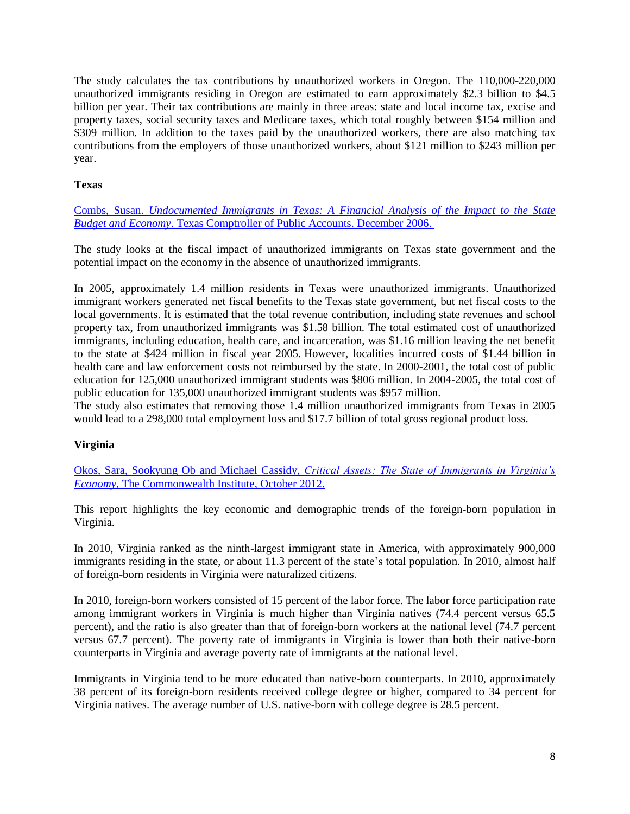The study calculates the tax contributions by unauthorized workers in Oregon. The 110,000-220,000 unauthorized immigrants residing in Oregon are estimated to earn approximately \$2.3 billion to \$4.5 billion per year. Their tax contributions are mainly in three areas: state and local income tax, excise and property taxes, social security taxes and Medicare taxes, which total roughly between \$154 million and \$309 million. In addition to the taxes paid by the unauthorized workers, there are also matching tax contributions from the employers of those unauthorized workers, about \$121 million to \$243 million per year.

## **Texas**

Combs, Susan. *[Undocumented Immigrants in Texas: A Financial Analysis of the Impact to the State](http://www.window.state.tx.us/specialrpt/undocumented/undocumented.pdf)  Budget and Economy*[. Texas Comptroller of Public Accounts. December 2006.](http://www.window.state.tx.us/specialrpt/undocumented/undocumented.pdf)

The study looks at the fiscal impact of unauthorized immigrants on Texas state government and the potential impact on the economy in the absence of unauthorized immigrants.

In 2005, approximately 1.4 million residents in Texas were unauthorized immigrants. Unauthorized immigrant workers generated net fiscal benefits to the Texas state government, but net fiscal costs to the local governments. It is estimated that the total revenue contribution, including state revenues and school property tax, from unauthorized immigrants was \$1.58 billion. The total estimated cost of unauthorized immigrants, including education, health care, and incarceration, was \$1.16 million leaving the net benefit to the state at \$424 million in fiscal year 2005. However, localities incurred costs of \$1.44 billion in health care and law enforcement costs not reimbursed by the state. In 2000-2001, the total cost of public education for 125,000 unauthorized immigrant students was \$806 million. In 2004-2005, the total cost of public education for 135,000 unauthorized immigrant students was \$957 million.

The study also estimates that removing those 1.4 million unauthorized immigrants from Texas in 2005 would lead to a 298,000 total employment loss and \$17.7 billion of total gross regional product loss.

### **Virginia**

Okos, Sara, Sookyung Ob and Michael Cassidy, *[Critical Assets: The State of Immigrants in Virginia's](http://www.thecommonwealthinstitute.org/2012/10/24/critical-assets-the-state-of-immigrants-in-virginias-economy/)  Economy*[, The Commonwealth Institute, October 2012.](http://www.thecommonwealthinstitute.org/2012/10/24/critical-assets-the-state-of-immigrants-in-virginias-economy/)

This report highlights the key economic and demographic trends of the foreign-born population in Virginia.

In 2010, Virginia ranked as the ninth-largest immigrant state in America, with approximately 900,000 immigrants residing in the state, or about 11.3 percent of the state's total population. In 2010, almost half of foreign-born residents in Virginia were naturalized citizens.

In 2010, foreign-born workers consisted of 15 percent of the labor force. The labor force participation rate among immigrant workers in Virginia is much higher than Virginia natives (74.4 percent versus 65.5 percent), and the ratio is also greater than that of foreign-born workers at the national level (74.7 percent versus 67.7 percent). The poverty rate of immigrants in Virginia is lower than both their native-born counterparts in Virginia and average poverty rate of immigrants at the national level.

Immigrants in Virginia tend to be more educated than native-born counterparts. In 2010, approximately 38 percent of its foreign-born residents received college degree or higher, compared to 34 percent for Virginia natives. The average number of U.S. native-born with college degree is 28.5 percent.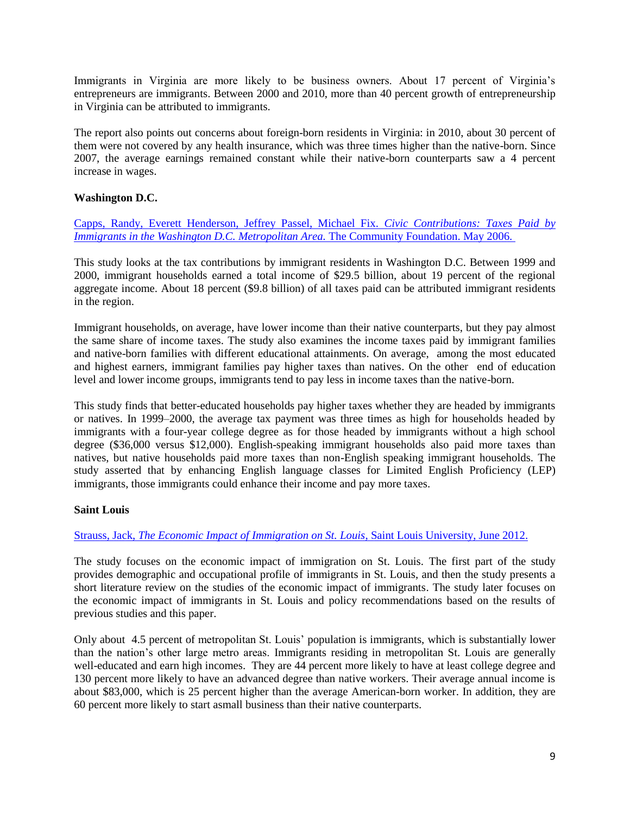Immigrants in Virginia are more likely to be business owners. About 17 percent of Virginia's entrepreneurs are immigrants. Between 2000 and 2010, more than 40 percent growth of entrepreneurship in Virginia can be attributed to immigrants.

The report also points out concerns about foreign-born residents in Virginia: in 2010, about 30 percent of them were not covered by any health insurance, which was three times higher than the native-born. Since 2007, the average earnings remained constant while their native-born counterparts saw a 4 percent increase in wages.

# **Washington D.C.**

[Capps, Randy, Everett Henderson, Jeffrey Passel, Michael Fix.](http://www.urban.org/UploadedPDF/411338_civic_contributions.pdf) *Civic Contributions: Taxes Paid by [Immigrants in the Washington D.C. Metropolitan Area.](http://www.urban.org/UploadedPDF/411338_civic_contributions.pdf) The Community Foundation. May 2006.* 

This study looks at the tax contributions by immigrant residents in Washington D.C. Between 1999 and 2000, immigrant households earned a total income of \$29.5 billion, about 19 percent of the regional aggregate income. About 18 percent (\$9.8 billion) of all taxes paid can be attributed immigrant residents in the region.

Immigrant households, on average, have lower income than their native counterparts, but they pay almost the same share of income taxes. The study also examines the income taxes paid by immigrant families and native-born families with different educational attainments. On average, among the most educated and highest earners, immigrant families pay higher taxes than natives. On the other end of education level and lower income groups, immigrants tend to pay less in income taxes than the native-born.

This study finds that better-educated households pay higher taxes whether they are headed by immigrants or natives. In 1999–2000, the average tax payment was three times as high for households headed by immigrants with a four-year college degree as for those headed by immigrants without a high school degree (\$36,000 versus \$12,000). English-speaking immigrant households also paid more taxes than natives, but native households paid more taxes than non-English speaking immigrant households. The study asserted that by enhancing English language classes for Limited English Proficiency (LEP) immigrants, those immigrants could enhance their income and pay more taxes.

# **Saint Louis**

### Strauss, Jack, *[The Economic Impact of Immigration on St. Louis](http://www.slcec.com/cmss_files/attachmentlibrary/Economic%20impact%20study%20-%20Immigration1.pdf)*, Saint Louis University, June 2012.

The study focuses on the economic impact of immigration on St. Louis. The first part of the study provides demographic and occupational profile of immigrants in St. Louis, and then the study presents a short literature review on the studies of the economic impact of immigrants. The study later focuses on the economic impact of immigrants in St. Louis and policy recommendations based on the results of previous studies and this paper.

Only about 4.5 percent of metropolitan St. Louis' population is immigrants, which is substantially lower than the nation's other large metro areas. Immigrants residing in metropolitan St. Louis are generally well-educated and earn high incomes. They are 44 percent more likely to have at least college degree and 130 percent more likely to have an advanced degree than native workers. Their average annual income is about \$83,000, which is 25 percent higher than the average American-born worker. In addition, they are 60 percent more likely to start asmall business than their native counterparts.